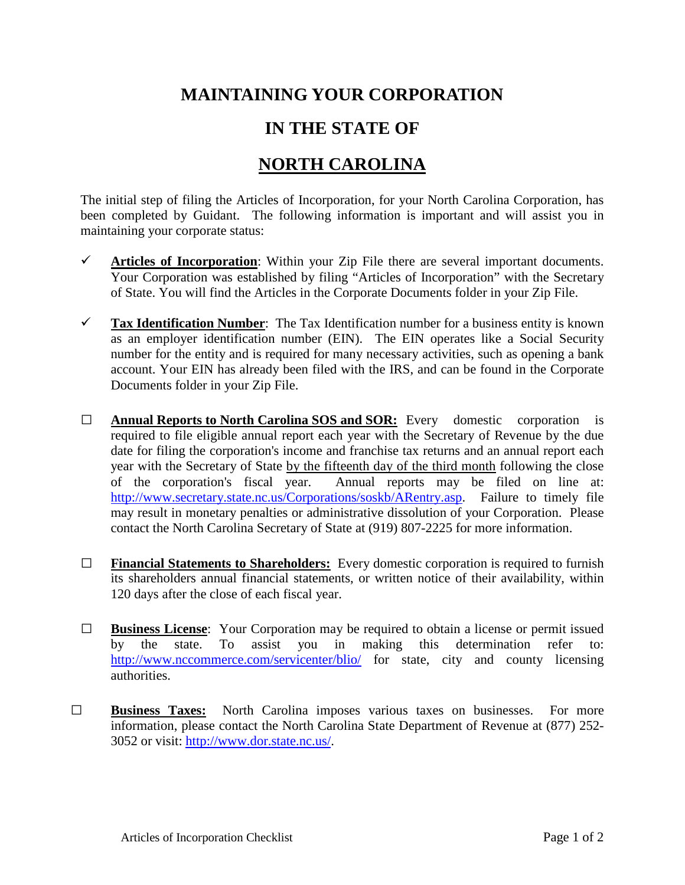## **MAINTAINING YOUR CORPORATION**

## **IN THE STATE OF**

## **NORTH CAROLINA**

The initial step of filing the Articles of Incorporation, for your North Carolina Corporation, has been completed by Guidant. The following information is important and will assist you in maintaining your corporate status:

- $\checkmark$  Articles of Incorporation: Within your Zip File there are several important documents. Your Corporation was established by filing "Articles of Incorporation" with the Secretary of State. You will find the Articles in the Corporate Documents folder in your Zip File.
- **Tax Identification Number**: The Tax Identification number for a business entity is known as an employer identification number (EIN). The EIN operates like a Social Security number for the entity and is required for many necessary activities, such as opening a bank account. Your EIN has already been filed with the IRS, and can be found in the Corporate Documents folder in your Zip File.
- **□ Annual Reports to North Carolina SOS and SOR:** Every domestic corporation is required to file eligible annual report each year with the Secretary of Revenue by the due date for filing the corporation's income and franchise tax returns and an annual report each year with the Secretary of State by the fifteenth day of the third month following the close of the corporation's fiscal year. Annual reports may be filed on line at: [http://www.secretary.state.nc.us/Corporations/soskb/ARentry.asp.](http://www.secretary.state.nc.us/Corporations/soskb/ARentry.asp) Failure to timely file may result in monetary penalties or administrative dissolution of your Corporation. Please contact the North Carolina Secretary of State at (919) 807-2225 for more information.
- **□ Financial Statements to Shareholders:** Every domestic corporation is required to furnish its shareholders annual financial statements, or written notice of their availability, within 120 days after the close of each fiscal year.
- □ **Business License**: Your Corporation may be required to obtain a license or permit issued by the state. To assist you in making this determination refer to: you in making this determination refer <http://www.nccommerce.com/servicenter/blio/> for state, city and county licensing authorities.
- **□ Business Taxes:** North Carolina imposes various taxes on businesses. For more information, please contact the North Carolina State Department of Revenue at (877) 252- 3052 or visit: [http://www.dor.state.nc.us/.](http://www.dor.state.nc.us/)